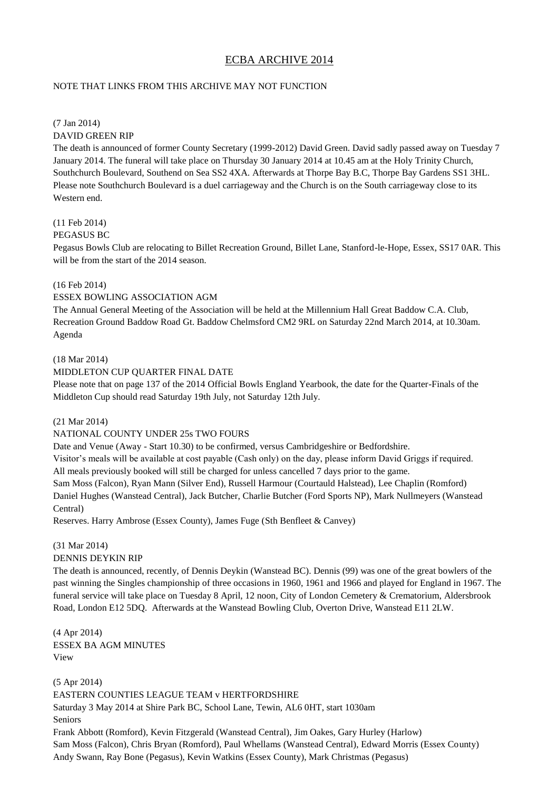# ECBA ARCHIVE 2014

## NOTE THAT LINKS FROM THIS ARCHIVE MAY NOT FUNCTION

#### (7 Jan 2014) DAVID GREEN RIP

The death is announced of former County Secretary (1999-2012) David Green. David sadly passed away on Tuesday 7 January 2014. The funeral will take place on Thursday 30 January 2014 at 10.45 am at the Holy Trinity Church, Southchurch Boulevard, Southend on Sea SS2 4XA. Afterwards at Thorpe Bay B.C, Thorpe Bay Gardens SS1 3HL. Please note Southchurch Boulevard is a duel carriageway and the Church is on the South carriageway close to its Western end.

## (11 Feb 2014)

## PEGASUS BC

Pegasus Bowls Club are relocating to Billet Recreation Ground, Billet Lane, Stanford-le-Hope, Essex, SS17 0AR. This will be from the start of the 2014 season.

## (16 Feb 2014)

## ESSEX BOWLING ASSOCIATION AGM

The Annual General Meeting of the Association will be held at the Millennium Hall Great Baddow C.A. Club, Recreation Ground Baddow Road Gt. Baddow Chelmsford CM2 9RL on Saturday 22nd March 2014, at 10.30am. Agenda

## (18 Mar 2014)

## MIDDLETON CUP QUARTER FINAL DATE

Please note that on page 137 of the 2014 Official Bowls England Yearbook, the date for the Quarter-Finals of the Middleton Cup should read Saturday 19th July, not Saturday 12th July.

#### (21 Mar 2014)

## NATIONAL COUNTY UNDER 25s TWO FOURS

Date and Venue (Away - Start 10.30) to be confirmed, versus Cambridgeshire or Bedfordshire.

Visitor's meals will be available at cost payable (Cash only) on the day, please inform David Griggs if required. All meals previously booked will still be charged for unless cancelled 7 days prior to the game.

Sam Moss (Falcon), Ryan Mann (Silver End), Russell Harmour (Courtauld Halstead), Lee Chaplin (Romford) Daniel Hughes (Wanstead Central), Jack Butcher, Charlie Butcher (Ford Sports NP), Mark Nullmeyers (Wanstead Central)

Reserves. Harry Ambrose (Essex County), James Fuge (Sth Benfleet & Canvey)

## (31 Mar 2014)

DENNIS DEYKIN RIP

The death is announced, recently, of Dennis Deykin (Wanstead BC). Dennis (99) was one of the great bowlers of the past winning the Singles championship of three occasions in 1960, 1961 and 1966 and played for England in 1967. The funeral service will take place on Tuesday 8 April, 12 noon, City of London Cemetery & Crematorium, Aldersbrook Road, London E12 5DQ. Afterwards at the Wanstead Bowling Club, Overton Drive, Wanstead E11 2LW.

(4 Apr 2014) ESSEX BA AGM MINUTES View

(5 Apr 2014) EASTERN COUNTIES LEAGUE TEAM v HERTFORDSHIRE Saturday 3 May 2014 at Shire Park BC, School Lane, Tewin, AL6 0HT, start 1030am Seniors Frank Abbott (Romford), Kevin Fitzgerald (Wanstead Central), Jim Oakes, Gary Hurley (Harlow)

Sam Moss (Falcon), Chris Bryan (Romford), Paul Whellams (Wanstead Central), Edward Morris (Essex County) Andy Swann, Ray Bone (Pegasus), Kevin Watkins (Essex County), Mark Christmas (Pegasus)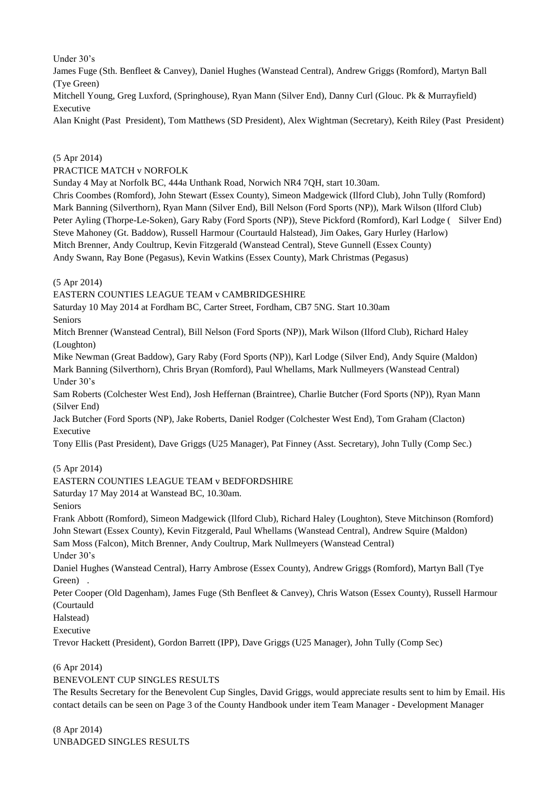Under 30's

James Fuge (Sth. Benfleet & Canvey), Daniel Hughes (Wanstead Central), Andrew Griggs (Romford), Martyn Ball (Tye Green)

Mitchell Young, Greg Luxford, (Springhouse), Ryan Mann (Silver End), Danny Curl (Glouc. Pk & Murrayfield) Executive

Alan Knight (Past President), Tom Matthews (SD President), Alex Wightman (Secretary), Keith Riley (Past President)

## (5 Apr 2014)

PRACTICE MATCH v NORFOLK

Sunday 4 May at Norfolk BC, 444a Unthank Road, Norwich NR4 7QH, start 10.30am.

Chris Coombes (Romford), John Stewart (Essex County), Simeon Madgewick (Ilford Club), John Tully (Romford) Mark Banning (Silverthorn), Ryan Mann (Silver End), Bill Nelson (Ford Sports (NP)), Mark Wilson (Ilford Club) Peter Ayling (Thorpe-Le-Soken), Gary Raby (Ford Sports (NP)), Steve Pickford (Romford), Karl Lodge ( Silver End) Steve Mahoney (Gt. Baddow), Russell Harmour (Courtauld Halstead), Jim Oakes, Gary Hurley (Harlow) Mitch Brenner, Andy Coultrup, Kevin Fitzgerald (Wanstead Central), Steve Gunnell (Essex County) Andy Swann, Ray Bone (Pegasus), Kevin Watkins (Essex County), Mark Christmas (Pegasus)

(5 Apr 2014)

EASTERN COUNTIES LEAGUE TEAM v CAMBRIDGESHIRE

Saturday 10 May 2014 at Fordham BC, Carter Street, Fordham, CB7 5NG. Start 10.30am Seniors

Mitch Brenner (Wanstead Central), Bill Nelson (Ford Sports (NP)), Mark Wilson (Ilford Club), Richard Haley (Loughton)

Mike Newman (Great Baddow), Gary Raby (Ford Sports (NP)), Karl Lodge (Silver End), Andy Squire (Maldon) Mark Banning (Silverthorn), Chris Bryan (Romford), Paul Whellams, Mark Nullmeyers (Wanstead Central) Under 30's

Sam Roberts (Colchester West End), Josh Heffernan (Braintree), Charlie Butcher (Ford Sports (NP)), Ryan Mann (Silver End)

Jack Butcher (Ford Sports (NP), Jake Roberts, Daniel Rodger (Colchester West End), Tom Graham (Clacton) Executive

Tony Ellis (Past President), Dave Griggs (U25 Manager), Pat Finney (Asst. Secretary), John Tully (Comp Sec.)

(5 Apr 2014)

## EASTERN COUNTIES LEAGUE TEAM v BEDFORDSHIRE

Saturday 17 May 2014 at Wanstead BC, 10.30am.

Seniors

Frank Abbott (Romford), Simeon Madgewick (Ilford Club), Richard Haley (Loughton), Steve Mitchinson (Romford) John Stewart (Essex County), Kevin Fitzgerald, Paul Whellams (Wanstead Central), Andrew Squire (Maldon)

Sam Moss (Falcon), Mitch Brenner, Andy Coultrup, Mark Nullmeyers (Wanstead Central) Under 30's

Daniel Hughes (Wanstead Central), Harry Ambrose (Essex County), Andrew Griggs (Romford), Martyn Ball (Tye Green) .

Peter Cooper (Old Dagenham), James Fuge (Sth Benfleet & Canvey), Chris Watson (Essex County), Russell Harmour (Courtauld

Halstead)

Executive

Trevor Hackett (President), Gordon Barrett (IPP), Dave Griggs (U25 Manager), John Tully (Comp Sec)

#### (6 Apr 2014)

BENEVOLENT CUP SINGLES RESULTS

The Results Secretary for the Benevolent Cup Singles, David Griggs, would appreciate results sent to him by Email. His contact details can be seen on Page 3 of the County Handbook under item Team Manager - Development Manager

(8 Apr 2014) UNBADGED SINGLES RESULTS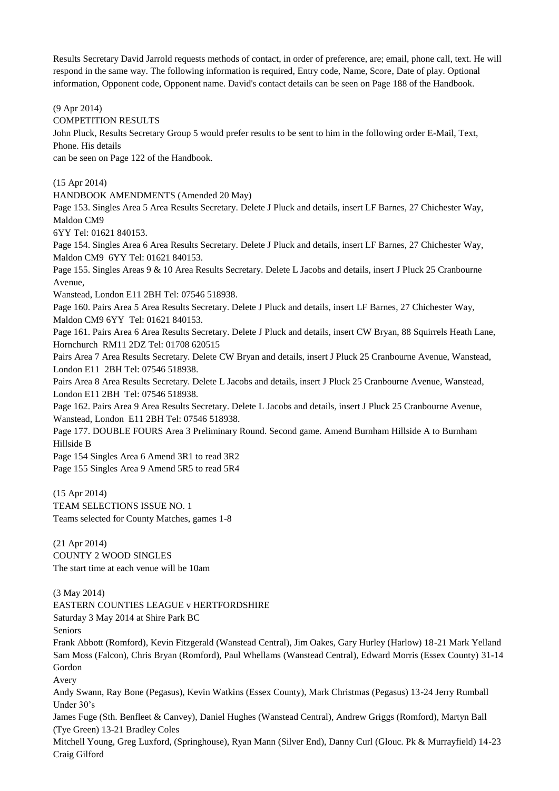Results Secretary David Jarrold requests methods of contact, in order of preference, are; email, phone call, text. He will respond in the same way. The following information is required, Entry code, Name, Score, Date of play. Optional information, Opponent code, Opponent name. David's contact details can be seen on Page 188 of the Handbook.

(9 Apr 2014)

COMPETITION RESULTS

John Pluck, Results Secretary Group 5 would prefer results to be sent to him in the following order E-Mail, Text, Phone. His details

can be seen on Page 122 of the Handbook.

(15 Apr 2014)

HANDBOOK AMENDMENTS (Amended 20 May)

Page 153. Singles Area 5 Area Results Secretary. Delete J Pluck and details, insert LF Barnes, 27 Chichester Way, Maldon CM9

6YY Tel: 01621 840153.

Page 154. Singles Area 6 Area Results Secretary. Delete J Pluck and details, insert LF Barnes, 27 Chichester Way, Maldon CM9 6YY Tel: 01621 840153.

Page 155. Singles Areas 9 & 10 Area Results Secretary. Delete L Jacobs and details, insert J Pluck 25 Cranbourne Avenue,

Wanstead, London E11 2BH Tel: 07546 518938.

Page 160. Pairs Area 5 Area Results Secretary. Delete J Pluck and details, insert LF Barnes, 27 Chichester Way, Maldon CM9 6YY Tel: 01621 840153.

Page 161. Pairs Area 6 Area Results Secretary. Delete J Pluck and details, insert CW Bryan, 88 Squirrels Heath Lane, Hornchurch RM11 2DZ Tel: 01708 620515

Pairs Area 7 Area Results Secretary. Delete CW Bryan and details, insert J Pluck 25 Cranbourne Avenue, Wanstead, London E11 2BH Tel: 07546 518938.

Pairs Area 8 Area Results Secretary. Delete L Jacobs and details, insert J Pluck 25 Cranbourne Avenue, Wanstead, London E11 2BH Tel: 07546 518938.

Page 162. Pairs Area 9 Area Results Secretary. Delete L Jacobs and details, insert J Pluck 25 Cranbourne Avenue, Wanstead, London E11 2BH Tel: 07546 518938.

Page 177. DOUBLE FOURS Area 3 Preliminary Round. Second game. Amend Burnham Hillside A to Burnham Hillside B

Page 154 Singles Area 6 Amend 3R1 to read 3R2 Page 155 Singles Area 9 Amend 5R5 to read 5R4

(15 Apr 2014) TEAM SELECTIONS ISSUE NO. 1 Teams selected for County Matches, games 1-8

(21 Apr 2014) COUNTY 2 WOOD SINGLES The start time at each venue will be 10am

(3 May 2014)

EASTERN COUNTIES LEAGUE v HERTFORDSHIRE

Saturday 3 May 2014 at Shire Park BC

Seniors

Frank Abbott (Romford), Kevin Fitzgerald (Wanstead Central), Jim Oakes, Gary Hurley (Harlow) 18-21 Mark Yelland Sam Moss (Falcon), Chris Bryan (Romford), Paul Whellams (Wanstead Central), Edward Morris (Essex County) 31-14 Gordon

Avery

Andy Swann, Ray Bone (Pegasus), Kevin Watkins (Essex County), Mark Christmas (Pegasus) 13-24 Jerry Rumball Under 30's

James Fuge (Sth. Benfleet & Canvey), Daniel Hughes (Wanstead Central), Andrew Griggs (Romford), Martyn Ball (Tye Green) 13-21 Bradley Coles

Mitchell Young, Greg Luxford, (Springhouse), Ryan Mann (Silver End), Danny Curl (Glouc. Pk & Murrayfield) 14-23 Craig Gilford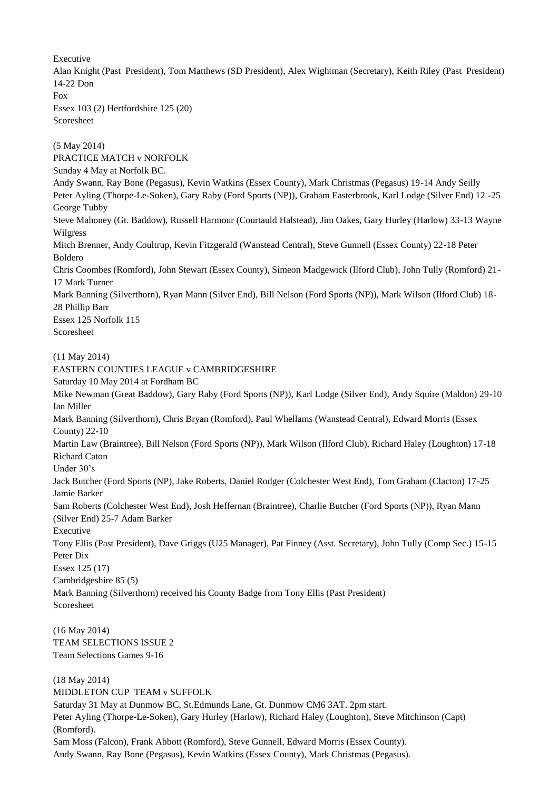Executive

Alan Knight (Past President), Tom Matthews (SD President), Alex Wightman (Secretary), Keith Riley (Past President) 14-22 Don Fox

Essex 103 (2) Hertfordshire 125 (20) Scoresheet

(5 May 2014) PRACTICE MATCH v NORFOLK Sunday 4 May at Norfolk BC. Andy Swann, Ray Bone (Pegasus), Kevin Watkins (Essex County), Mark Christmas (Pegasus) 19-14 Andy Seilly Peter Ayling (Thorpe-Le-Soken), Gary Raby (Ford Sports (NP)), Graham Easterbrook, Karl Lodge (Silver End) 12 -25 George Tubby Steve Mahoney (Gt. Baddow), Russell Harmour (Courtauld Halstead), Jim Oakes, Gary Hurley (Harlow) 33-13 Wayne Wilgress Mitch Brenner, Andy Coultrup, Kevin Fitzgerald (Wanstead Central), Steve Gunnell (Essex County) 22-18 Peter Boldero Chris Coombes (Romford), John Stewart (Essex County), Simeon Madgewick (Ilford Club), John Tully (Romford) 21- 17 Mark Turner Mark Banning (Silverthorn), Ryan Mann (Silver End), Bill Nelson (Ford Sports (NP)), Mark Wilson (Ilford Club) 18- 28 Phillip Barr Essex 125 Norfolk 115 Scoresheet (11 May 2014) EASTERN COUNTIES LEAGUE v CAMBRIDGESHIRE Saturday 10 May 2014 at Fordham BC Mike Newman (Great Baddow), Gary Raby (Ford Sports (NP)), Karl Lodge (Silver End), Andy Squire (Maldon) 29-10 Ian Miller Mark Banning (Silverthorn), Chris Bryan (Romford), Paul Whellams (Wanstead Central), Edward Morris (Essex County) 22-10 Martin Law (Braintree), Bill Nelson (Ford Sports (NP)), Mark Wilson (Ilford Club), Richard Haley (Loughton) 17-18 Richard Caton Under 30's Jack Butcher (Ford Sports (NP), Jake Roberts, Daniel Rodger (Colchester West End), Tom Graham (Clacton) 17-25 Jamie Barker Sam Roberts (Colchester West End), Josh Heffernan (Braintree), Charlie Butcher (Ford Sports (NP)), Ryan Mann (Silver End) 25-7 Adam Barker Executive Tony Ellis (Past President), Dave Griggs (U25 Manager), Pat Finney (Asst. Secretary), John Tully (Comp Sec.) 15-15 Peter Dix Essex 125 (17) Cambridgeshire 85 (5) Mark Banning (Silverthorn) received his County Badge from Tony Ellis (Past President) Scoresheet (16 May 2014) TEAM SELECTIONS ISSUE 2 Team Selections Games 9-16 (18 May 2014) MIDDLETON CUP TEAM v SUFFOLK Saturday 31 May at Dunmow BC, St.Edmunds Lane, Gt. Dunmow CM6 3AT. 2pm start. Peter Ayling (Thorpe-Le-Soken), Gary Hurley (Harlow), Richard Haley (Loughton), Steve Mitchinson (Capt) (Romford). Sam Moss (Falcon), Frank Abbott (Romford), Steve Gunnell, Edward Morris (Essex County).

Andy Swann, Ray Bone (Pegasus), Kevin Watkins (Essex County), Mark Christmas (Pegasus).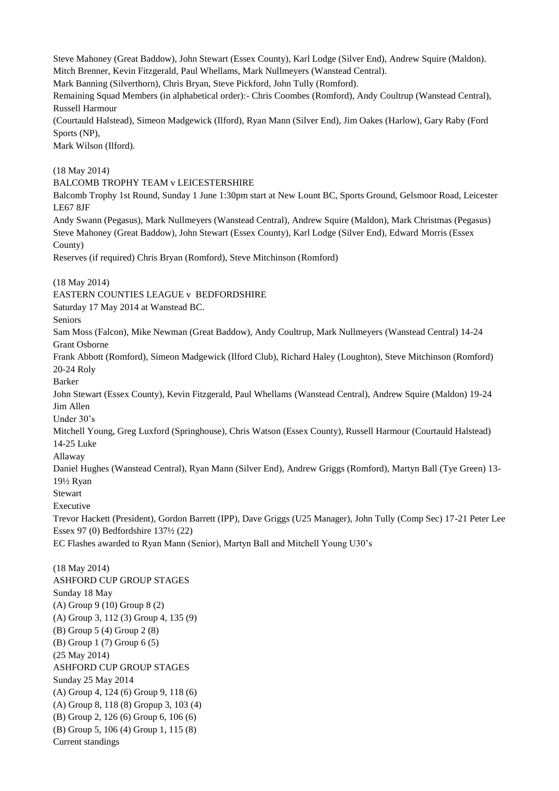Steve Mahoney (Great Baddow), John Stewart (Essex County), Karl Lodge (Silver End), Andrew Squire (Maldon). Mitch Brenner, Kevin Fitzgerald, Paul Whellams, Mark Nullmeyers (Wanstead Central). Mark Banning (Silverthorn), Chris Bryan, Steve Pickford, John Tully (Romford). Remaining Squad Members (in alphabetical order):- Chris Coombes (Romford), Andy Coultrup (Wanstead Central), Russell Harmour (Courtauld Halstead), Simeon Madgewick (Ilford), Ryan Mann (Silver End), Jim Oakes (Harlow), Gary Raby (Ford Sports (NP), Mark Wilson (Ilford). (18 May 2014) BALCOMB TROPHY TEAM v LEICESTERSHIRE Balcomb Trophy 1st Round, Sunday 1 June 1:30pm start at New Lount BC, Sports Ground, Gelsmoor Road, Leicester LE67 8JF Andy Swann (Pegasus), Mark Nullmeyers (Wanstead Central), Andrew Squire (Maldon), Mark Christmas (Pegasus) Steve Mahoney (Great Baddow), John Stewart (Essex County), Karl Lodge (Silver End), Edward Morris (Essex County) Reserves (if required) Chris Bryan (Romford), Steve Mitchinson (Romford) (18 May 2014) EASTERN COUNTIES LEAGUE v BEDFORDSHIRE Saturday 17 May 2014 at Wanstead BC. Seniors Sam Moss (Falcon), Mike Newman (Great Baddow), Andy Coultrup, Mark Nullmeyers (Wanstead Central) 14-24 Grant Osborne Frank Abbott (Romford), Simeon Madgewick (Ilford Club), Richard Haley (Loughton), Steve Mitchinson (Romford) 20-24 Roly

Barker

John Stewart (Essex County), Kevin Fitzgerald, Paul Whellams (Wanstead Central), Andrew Squire (Maldon) 19-24 Jim Allen

Under 30's

Mitchell Young, Greg Luxford (Springhouse), Chris Watson (Essex County), Russell Harmour (Courtauld Halstead) 14-25 Luke

Allaway

Daniel Hughes (Wanstead Central), Ryan Mann (Silver End), Andrew Griggs (Romford), Martyn Ball (Tye Green) 13- 19½ Ryan

Stewart

Executive

Trevor Hackett (President), Gordon Barrett (IPP), Dave Griggs (U25 Manager), John Tully (Comp Sec) 17-21 Peter Lee Essex 97 (0) Bedfordshire 137½ (22)

EC Flashes awarded to Ryan Mann (Senior), Martyn Ball and Mitchell Young U30's

(18 May 2014) ASHFORD CUP GROUP STAGES Sunday 18 May (A) Group 9 (10) Group 8 (2) (A) Group 3, 112 (3) Group 4, 135 (9) (B) Group 5 (4) Group 2 (8) (B) Group 1 (7) Group 6 (5) (25 May 2014) ASHFORD CUP GROUP STAGES Sunday 25 May 2014 (A) Group 4, 124 (6) Group 9, 118 (6) (A) Group 8, 118 (8) Gropup 3, 103 (4) (B) Group 2, 126 (6) Group 6, 106 (6) (B) Group 5, 106 (4) Group 1, 115 (8) Current standings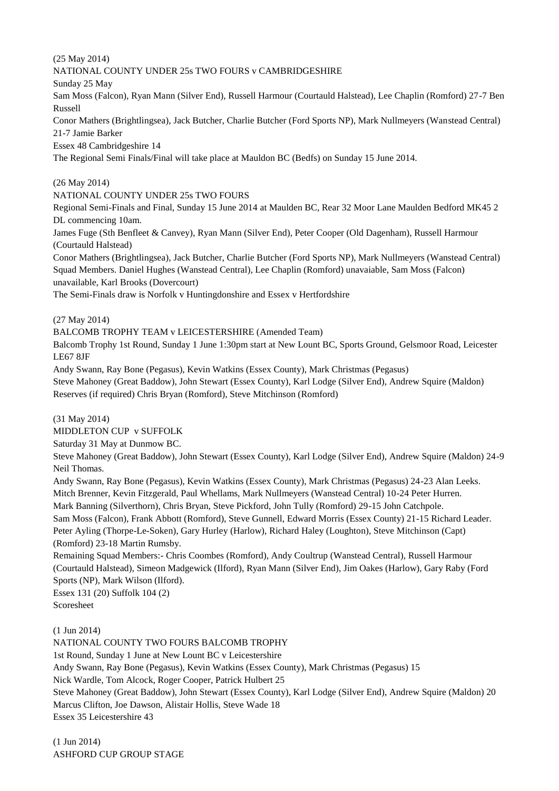(25 May 2014)

NATIONAL COUNTY UNDER 25s TWO FOURS v CAMBRIDGESHIRE Sunday 25 May Sam Moss (Falcon), Ryan Mann (Silver End), Russell Harmour (Courtauld Halstead), Lee Chaplin (Romford) 27-7 Ben Russell Conor Mathers (Brightlingsea), Jack Butcher, Charlie Butcher (Ford Sports NP), Mark Nullmeyers (Wanstead Central) 21-7 Jamie Barker Essex 48 Cambridgeshire 14 The Regional Semi Finals/Final will take place at Mauldon BC (Bedfs) on Sunday 15 June 2014.

(26 May 2014)

NATIONAL COUNTY UNDER 25s TWO FOURS

Regional Semi-Finals and Final, Sunday 15 June 2014 at Maulden BC, Rear 32 Moor Lane Maulden Bedford MK45 2 DL commencing 10am.

James Fuge (Sth Benfleet & Canvey), Ryan Mann (Silver End), Peter Cooper (Old Dagenham), Russell Harmour (Courtauld Halstead)

Conor Mathers (Brightlingsea), Jack Butcher, Charlie Butcher (Ford Sports NP), Mark Nullmeyers (Wanstead Central) Squad Members. Daniel Hughes (Wanstead Central), Lee Chaplin (Romford) unavaiable, Sam Moss (Falcon) unavailable, Karl Brooks (Dovercourt)

The Semi-Finals draw is Norfolk v Huntingdonshire and Essex v Hertfordshire

(27 May 2014)

BALCOMB TROPHY TEAM v LEICESTERSHIRE (Amended Team)

Balcomb Trophy 1st Round, Sunday 1 June 1:30pm start at New Lount BC, Sports Ground, Gelsmoor Road, Leicester LE67 8JF

Andy Swann, Ray Bone (Pegasus), Kevin Watkins (Essex County), Mark Christmas (Pegasus) Steve Mahoney (Great Baddow), John Stewart (Essex County), Karl Lodge (Silver End), Andrew Squire (Maldon) Reserves (if required) Chris Bryan (Romford), Steve Mitchinson (Romford)

(31 May 2014)

MIDDLETON CUP v SUFFOLK

Saturday 31 May at Dunmow BC.

Steve Mahoney (Great Baddow), John Stewart (Essex County), Karl Lodge (Silver End), Andrew Squire (Maldon) 24-9 Neil Thomas.

Andy Swann, Ray Bone (Pegasus), Kevin Watkins (Essex County), Mark Christmas (Pegasus) 24-23 Alan Leeks. Mitch Brenner, Kevin Fitzgerald, Paul Whellams, Mark Nullmeyers (Wanstead Central) 10-24 Peter Hurren. Mark Banning (Silverthorn), Chris Bryan, Steve Pickford, John Tully (Romford) 29-15 John Catchpole. Sam Moss (Falcon), Frank Abbott (Romford), Steve Gunnell, Edward Morris (Essex County) 21-15 Richard Leader. Peter Ayling (Thorpe-Le-Soken), Gary Hurley (Harlow), Richard Haley (Loughton), Steve Mitchinson (Capt) (Romford) 23-18 Martin Rumsby.

Remaining Squad Members:- Chris Coombes (Romford), Andy Coultrup (Wanstead Central), Russell Harmour (Courtauld Halstead), Simeon Madgewick (Ilford), Ryan Mann (Silver End), Jim Oakes (Harlow), Gary Raby (Ford Sports (NP), Mark Wilson (Ilford).

Essex 131 (20) Suffolk 104 (2) Scoresheet

(1 Jun 2014)

NATIONAL COUNTY TWO FOURS BALCOMB TROPHY 1st Round, Sunday 1 June at New Lount BC v Leicestershire Andy Swann, Ray Bone (Pegasus), Kevin Watkins (Essex County), Mark Christmas (Pegasus) 15 Nick Wardle, Tom Alcock, Roger Cooper, Patrick Hulbert 25 Steve Mahoney (Great Baddow), John Stewart (Essex County), Karl Lodge (Silver End), Andrew Squire (Maldon) 20 Marcus Clifton, Joe Dawson, Alistair Hollis, Steve Wade 18 Essex 35 Leicestershire 43

(1 Jun 2014) ASHFORD CUP GROUP STAGE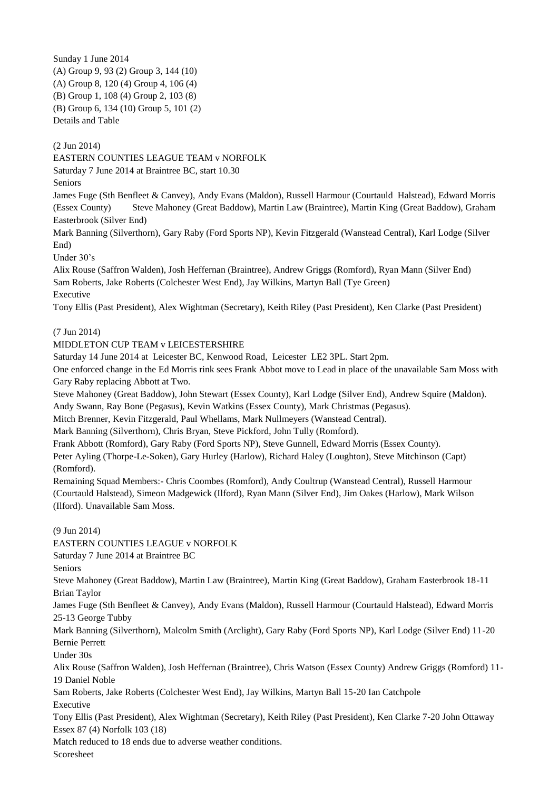Sunday 1 June 2014 (A) Group 9, 93 (2) Group 3, 144 (10) (A) Group 8, 120 (4) Group 4, 106 (4) (B) Group 1, 108 (4) Group 2, 103 (8) (B) Group 6, 134 (10) Group 5, 101 (2) Details and Table

(2 Jun 2014)

EASTERN COUNTIES LEAGUE TEAM v NORFOLK

Saturday 7 June 2014 at Braintree BC, start 10.30

Seniors

James Fuge (Sth Benfleet & Canvey), Andy Evans (Maldon), Russell Harmour (Courtauld Halstead), Edward Morris (Essex County) Steve Mahoney (Great Baddow), Martin Law (Braintree), Martin King (Great Baddow), Graham Easterbrook (Silver End)

Mark Banning (Silverthorn), Gary Raby (Ford Sports NP), Kevin Fitzgerald (Wanstead Central), Karl Lodge (Silver End)

Under 30's

Alix Rouse (Saffron Walden), Josh Heffernan (Braintree), Andrew Griggs (Romford), Ryan Mann (Silver End) Sam Roberts, Jake Roberts (Colchester West End), Jay Wilkins, Martyn Ball (Tye Green) Executive

Tony Ellis (Past President), Alex Wightman (Secretary), Keith Riley (Past President), Ken Clarke (Past President)

(7 Jun 2014)

## MIDDLETON CUP TEAM v LEICESTERSHIRE

Saturday 14 June 2014 at Leicester BC, Kenwood Road, Leicester LE2 3PL. Start 2pm.

One enforced change in the Ed Morris rink sees Frank Abbot move to Lead in place of the unavailable Sam Moss with Gary Raby replacing Abbott at Two.

Steve Mahoney (Great Baddow), John Stewart (Essex County), Karl Lodge (Silver End), Andrew Squire (Maldon). Andy Swann, Ray Bone (Pegasus), Kevin Watkins (Essex County), Mark Christmas (Pegasus).

Mitch Brenner, Kevin Fitzgerald, Paul Whellams, Mark Nullmeyers (Wanstead Central).

Mark Banning (Silverthorn), Chris Bryan, Steve Pickford, John Tully (Romford).

Frank Abbott (Romford), Gary Raby (Ford Sports NP), Steve Gunnell, Edward Morris (Essex County).

Peter Ayling (Thorpe-Le-Soken), Gary Hurley (Harlow), Richard Haley (Loughton), Steve Mitchinson (Capt) (Romford).

Remaining Squad Members:- Chris Coombes (Romford), Andy Coultrup (Wanstead Central), Russell Harmour (Courtauld Halstead), Simeon Madgewick (Ilford), Ryan Mann (Silver End), Jim Oakes (Harlow), Mark Wilson (Ilford). Unavailable Sam Moss.

(9 Jun 2014)

EASTERN COUNTIES LEAGUE v NORFOLK

Saturday 7 June 2014 at Braintree BC

Seniors

Steve Mahoney (Great Baddow), Martin Law (Braintree), Martin King (Great Baddow), Graham Easterbrook 18-11 Brian Taylor

James Fuge (Sth Benfleet & Canvey), Andy Evans (Maldon), Russell Harmour (Courtauld Halstead), Edward Morris 25-13 George Tubby

Mark Banning (Silverthorn), Malcolm Smith (Arclight), Gary Raby (Ford Sports NP), Karl Lodge (Silver End) 11-20 Bernie Perrett

Under 30s

Alix Rouse (Saffron Walden), Josh Heffernan (Braintree), Chris Watson (Essex County) Andrew Griggs (Romford) 11- 19 Daniel Noble

Sam Roberts, Jake Roberts (Colchester West End), Jay Wilkins, Martyn Ball 15-20 Ian Catchpole Executive

Tony Ellis (Past President), Alex Wightman (Secretary), Keith Riley (Past President), Ken Clarke 7-20 John Ottaway Essex 87 (4) Norfolk 103 (18)

Match reduced to 18 ends due to adverse weather conditions.

Scoresheet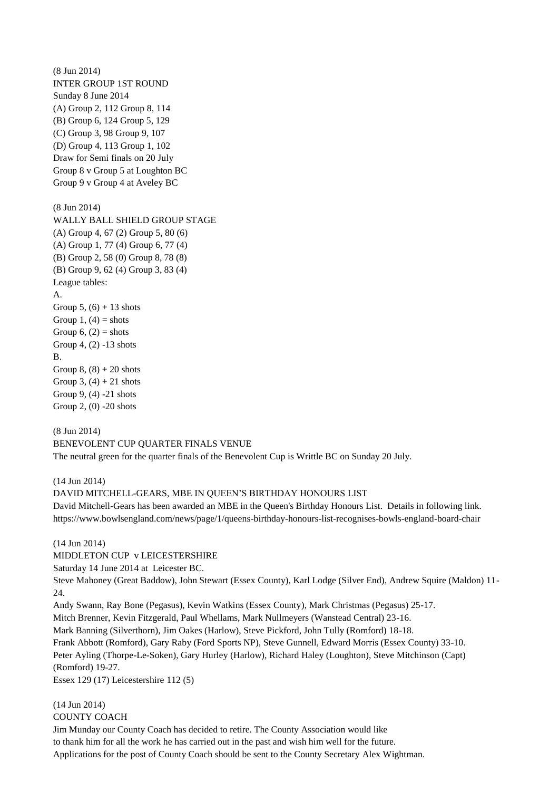(8 Jun 2014) INTER GROUP 1ST ROUND Sunday 8 June 2014 (A) Group 2, 112 Group 8, 114 (B) Group 6, 124 Group 5, 129 (C) Group 3, 98 Group 9, 107 (D) Group 4, 113 Group 1, 102 Draw for Semi finals on 20 July Group 8 v Group 5 at Loughton BC Group 9 v Group 4 at Aveley BC (8 Jun 2014) WALLY BALL SHIELD GROUP STAGE (A) Group 4, 67 (2) Group 5, 80 (6) (A) Group 1, 77 (4) Group 6, 77 (4) (B) Group 2, 58 (0) Group 8, 78 (8) (B) Group 9, 62 (4) Group 3, 83 (4) League tables: A. Group 5,  $(6) + 13$  shots Group 1,  $(4)$  = shots Group  $6$ ,  $(2)$  = shots Group 4, (2) -13 shots B. Group  $8$ ,  $(8) + 20$  shots Group 3,  $(4) + 21$  shots Group 9, (4) -21 shots

(8 Jun 2014) BENEVOLENT CUP QUARTER FINALS VENUE The neutral green for the quarter finals of the Benevolent Cup is Writtle BC on Sunday 20 July.

(14 Jun 2014)

(14 Jun 2014)

Group 2, (0) -20 shots

DAVID MITCHELL-GEARS, MBE IN QUEEN'S BIRTHDAY HONOURS LIST

David Mitchell-Gears has been awarded an MBE in the Queen's Birthday Honours List. Details in following link. https://www.bowlsengland.com/news/page/1/queens-birthday-honours-list-recognises-bowls-england-board-chair

(14 Jun 2014) MIDDLETON CUP v LEICESTERSHIRE Saturday 14 June 2014 at Leicester BC. Steve Mahoney (Great Baddow), John Stewart (Essex County), Karl Lodge (Silver End), Andrew Squire (Maldon) 11- 24. Andy Swann, Ray Bone (Pegasus), Kevin Watkins (Essex County), Mark Christmas (Pegasus) 25-17. Mitch Brenner, Kevin Fitzgerald, Paul Whellams, Mark Nullmeyers (Wanstead Central) 23-16. Mark Banning (Silverthorn), Jim Oakes (Harlow), Steve Pickford, John Tully (Romford) 18-18. Frank Abbott (Romford), Gary Raby (Ford Sports NP), Steve Gunnell, Edward Morris (Essex County) 33-10. Peter Ayling (Thorpe-Le-Soken), Gary Hurley (Harlow), Richard Haley (Loughton), Steve Mitchinson (Capt) (Romford) 19-27. Essex 129 (17) Leicestershire 112 (5)

COUNTY COACH Jim Munday our County Coach has decided to retire. The County Association would like to thank him for all the work he has carried out in the past and wish him well for the future. Applications for the post of County Coach should be sent to the County Secretary Alex Wightman.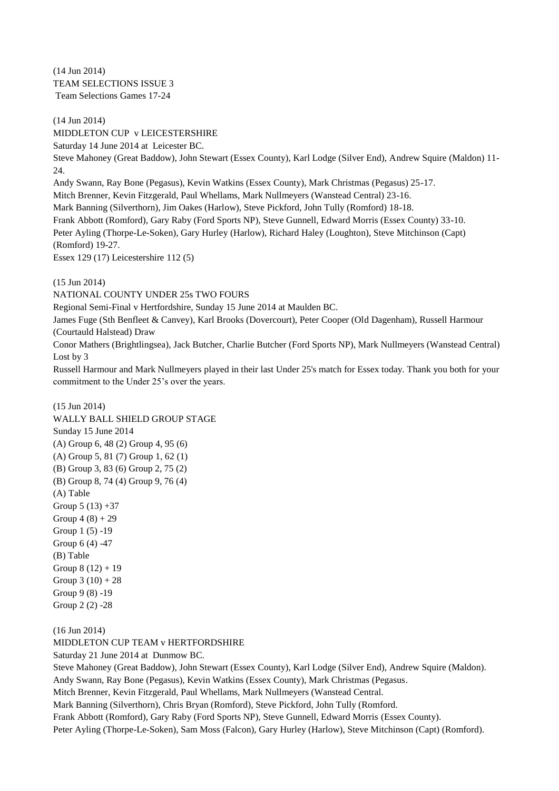(14 Jun 2014) TEAM SELECTIONS ISSUE 3 Team Selections Games 17-24

(14 Jun 2014) MIDDLETON CUP v LEICESTERSHIRE Saturday 14 June 2014 at Leicester BC. Steve Mahoney (Great Baddow), John Stewart (Essex County), Karl Lodge (Silver End), Andrew Squire (Maldon) 11- 24. Andy Swann, Ray Bone (Pegasus), Kevin Watkins (Essex County), Mark Christmas (Pegasus) 25-17. Mitch Brenner, Kevin Fitzgerald, Paul Whellams, Mark Nullmeyers (Wanstead Central) 23-16. Mark Banning (Silverthorn), Jim Oakes (Harlow), Steve Pickford, John Tully (Romford) 18-18. Frank Abbott (Romford), Gary Raby (Ford Sports NP), Steve Gunnell, Edward Morris (Essex County) 33-10. Peter Ayling (Thorpe-Le-Soken), Gary Hurley (Harlow), Richard Haley (Loughton), Steve Mitchinson (Capt) (Romford) 19-27. Essex 129 (17) Leicestershire 112 (5)

(15 Jun 2014)

NATIONAL COUNTY UNDER 25s TWO FOURS

Regional Semi-Final v Hertfordshire, Sunday 15 June 2014 at Maulden BC.

James Fuge (Sth Benfleet & Canvey), Karl Brooks (Dovercourt), Peter Cooper (Old Dagenham), Russell Harmour (Courtauld Halstead) Draw

Conor Mathers (Brightlingsea), Jack Butcher, Charlie Butcher (Ford Sports NP), Mark Nullmeyers (Wanstead Central) Lost by 3

Russell Harmour and Mark Nullmeyers played in their last Under 25's match for Essex today. Thank you both for your commitment to the Under 25's over the years.

(15 Jun 2014) WALLY BALL SHIELD GROUP STAGE Sunday 15 June 2014 (A) Group 6, 48 (2) Group 4, 95 (6) (A) Group 5, 81 (7) Group 1, 62 (1) (B) Group 3, 83 (6) Group 2, 75 (2) (B) Group 8, 74 (4) Group 9, 76 (4) (A) Table Group  $5(13) + 37$ Group  $4(8) + 29$ Group 1 (5) -19 Group 6 (4) -47 (B) Table Group  $8(12) + 19$ Group  $3(10) + 28$ Group 9 (8) -19 Group 2 (2) -28

(16 Jun 2014) MIDDLETON CUP TEAM v HERTFORDSHIRE

Saturday 21 June 2014 at Dunmow BC.

Steve Mahoney (Great Baddow), John Stewart (Essex County), Karl Lodge (Silver End), Andrew Squire (Maldon). Andy Swann, Ray Bone (Pegasus), Kevin Watkins (Essex County), Mark Christmas (Pegasus.

Mitch Brenner, Kevin Fitzgerald, Paul Whellams, Mark Nullmeyers (Wanstead Central.

Mark Banning (Silverthorn), Chris Bryan (Romford), Steve Pickford, John Tully (Romford.

Frank Abbott (Romford), Gary Raby (Ford Sports NP), Steve Gunnell, Edward Morris (Essex County).

Peter Ayling (Thorpe-Le-Soken), Sam Moss (Falcon), Gary Hurley (Harlow), Steve Mitchinson (Capt) (Romford).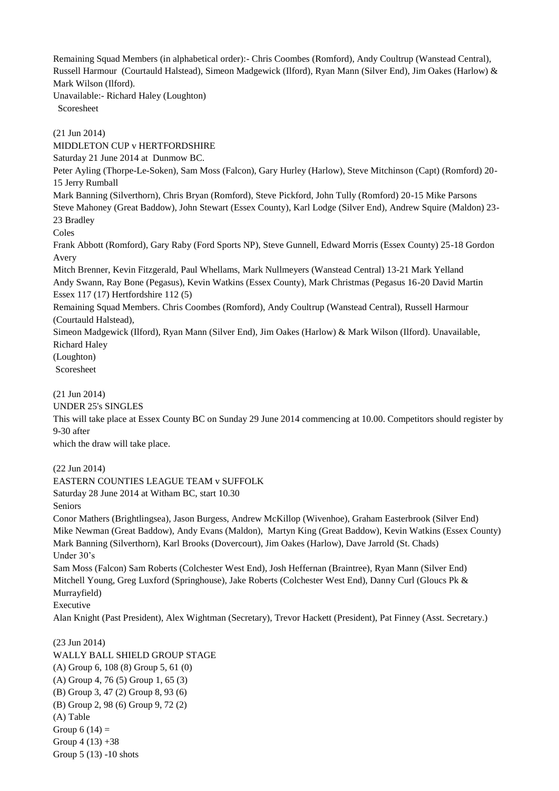Remaining Squad Members (in alphabetical order):- Chris Coombes (Romford), Andy Coultrup (Wanstead Central), Russell Harmour (Courtauld Halstead), Simeon Madgewick (Ilford), Ryan Mann (Silver End), Jim Oakes (Harlow) & Mark Wilson (Ilford).

Unavailable:- Richard Haley (Loughton) Scoresheet

(21 Jun 2014)

MIDDLETON CUP v HERTFORDSHIRE

Saturday 21 June 2014 at Dunmow BC.

Peter Ayling (Thorpe-Le-Soken), Sam Moss (Falcon), Gary Hurley (Harlow), Steve Mitchinson (Capt) (Romford) 20- 15 Jerry Rumball

Mark Banning (Silverthorn), Chris Bryan (Romford), Steve Pickford, John Tully (Romford) 20-15 Mike Parsons Steve Mahoney (Great Baddow), John Stewart (Essex County), Karl Lodge (Silver End), Andrew Squire (Maldon) 23- 23 Bradley

Coles

Frank Abbott (Romford), Gary Raby (Ford Sports NP), Steve Gunnell, Edward Morris (Essex County) 25-18 Gordon Avery

Mitch Brenner, Kevin Fitzgerald, Paul Whellams, Mark Nullmeyers (Wanstead Central) 13-21 Mark Yelland Andy Swann, Ray Bone (Pegasus), Kevin Watkins (Essex County), Mark Christmas (Pegasus 16-20 David Martin Essex 117 (17) Hertfordshire 112 (5)

Remaining Squad Members. Chris Coombes (Romford), Andy Coultrup (Wanstead Central), Russell Harmour (Courtauld Halstead),

Simeon Madgewick (Ilford), Ryan Mann (Silver End), Jim Oakes (Harlow) & Mark Wilson (Ilford). Unavailable, Richard Haley

(Loughton)

Scoresheet

(21 Jun 2014)

UNDER 25's SINGLES

This will take place at Essex County BC on Sunday 29 June 2014 commencing at 10.00. Competitors should register by 9-30 after

which the draw will take place.

(22 Jun 2014)

EASTERN COUNTIES LEAGUE TEAM v SUFFOLK

Saturday 28 June 2014 at Witham BC, start 10.30

Seniors

Conor Mathers (Brightlingsea), Jason Burgess, Andrew McKillop (Wivenhoe), Graham Easterbrook (Silver End) Mike Newman (Great Baddow), Andy Evans (Maldon), Martyn King (Great Baddow), Kevin Watkins (Essex County) Mark Banning (Silverthorn), Karl Brooks (Dovercourt), Jim Oakes (Harlow), Dave Jarrold (St. Chads) Under 30's

Sam Moss (Falcon) Sam Roberts (Colchester West End), Josh Heffernan (Braintree), Ryan Mann (Silver End) Mitchell Young, Greg Luxford (Springhouse), Jake Roberts (Colchester West End), Danny Curl (Gloucs Pk & Murrayfield)

Executive

Alan Knight (Past President), Alex Wightman (Secretary), Trevor Hackett (President), Pat Finney (Asst. Secretary.)

(23 Jun 2014) WALLY BALL SHIELD GROUP STAGE (A) Group 6, 108 (8) Group 5, 61 (0) (A) Group 4, 76 (5) Group 1, 65 (3) (B) Group 3, 47 (2) Group 8, 93 (6) (B) Group 2, 98 (6) Group 9, 72 (2) (A) Table Group  $6(14) =$ Group  $4(13) + 38$ Group 5 (13) -10 shots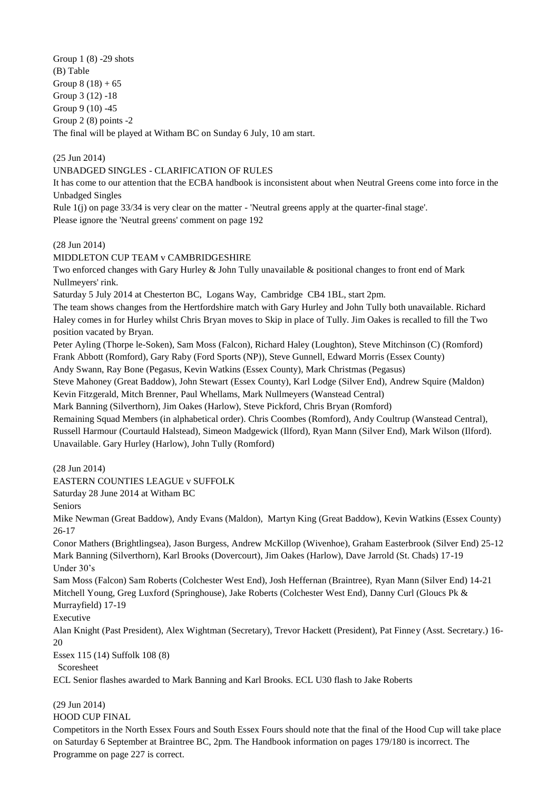Group 1 (8) -29 shots (B) Table Group  $8(18) + 65$ Group 3 (12) -18 Group 9 (10) -45 Group 2 (8) points -2 The final will be played at Witham BC on Sunday 6 July, 10 am start.

(25 Jun 2014)

## UNBADGED SINGLES - CLARIFICATION OF RULES

It has come to our attention that the ECBA handbook is inconsistent about when Neutral Greens come into force in the Unbadged Singles

Rule 1(j) on page 33/34 is very clear on the matter - 'Neutral greens apply at the quarter-final stage'. Please ignore the 'Neutral greens' comment on page 192

(28 Jun 2014)

## MIDDLETON CUP TEAM v CAMBRIDGESHIRE

Two enforced changes with Gary Hurley & John Tully unavailable & positional changes to front end of Mark Nullmeyers' rink.

Saturday 5 July 2014 at Chesterton BC, Logans Way, Cambridge CB4 1BL, start 2pm.

The team shows changes from the Hertfordshire match with Gary Hurley and John Tully both unavailable. Richard Haley comes in for Hurley whilst Chris Bryan moves to Skip in place of Tully. Jim Oakes is recalled to fill the Two position vacated by Bryan.

Peter Ayling (Thorpe le-Soken), Sam Moss (Falcon), Richard Haley (Loughton), Steve Mitchinson (C) (Romford) Frank Abbott (Romford), Gary Raby (Ford Sports (NP)), Steve Gunnell, Edward Morris (Essex County)

Andy Swann, Ray Bone (Pegasus, Kevin Watkins (Essex County), Mark Christmas (Pegasus)

Steve Mahoney (Great Baddow), John Stewart (Essex County), Karl Lodge (Silver End), Andrew Squire (Maldon) Kevin Fitzgerald, Mitch Brenner, Paul Whellams, Mark Nullmeyers (Wanstead Central)

Mark Banning (Silverthorn), Jim Oakes (Harlow), Steve Pickford, Chris Bryan (Romford)

Remaining Squad Members (in alphabetical order). Chris Coombes (Romford), Andy Coultrup (Wanstead Central), Russell Harmour (Courtauld Halstead), Simeon Madgewick (Ilford), Ryan Mann (Silver End), Mark Wilson (Ilford). Unavailable. Gary Hurley (Harlow), John Tully (Romford)

(28 Jun 2014)

EASTERN COUNTIES LEAGUE v SUFFOLK

Saturday 28 June 2014 at Witham BC

Seniors

Mike Newman (Great Baddow), Andy Evans (Maldon), Martyn King (Great Baddow), Kevin Watkins (Essex County) 26-17

Conor Mathers (Brightlingsea), Jason Burgess, Andrew McKillop (Wivenhoe), Graham Easterbrook (Silver End) 25-12 Mark Banning (Silverthorn), Karl Brooks (Dovercourt), Jim Oakes (Harlow), Dave Jarrold (St. Chads) 17-19 Under 30's

Sam Moss (Falcon) Sam Roberts (Colchester West End), Josh Heffernan (Braintree), Ryan Mann (Silver End) 14-21 Mitchell Young, Greg Luxford (Springhouse), Jake Roberts (Colchester West End), Danny Curl (Gloucs Pk & Murrayfield) 17-19

Executive

Alan Knight (Past President), Alex Wightman (Secretary), Trevor Hackett (President), Pat Finney (Asst. Secretary.) 16- 20

Essex 115 (14) Suffolk 108 (8)

Scoresheet

ECL Senior flashes awarded to Mark Banning and Karl Brooks. ECL U30 flash to Jake Roberts

(29 Jun 2014)

HOOD CUP FINAL

Competitors in the North Essex Fours and South Essex Fours should note that the final of the Hood Cup will take place on Saturday 6 September at Braintree BC, 2pm. The Handbook information on pages 179/180 is incorrect. The Programme on page 227 is correct.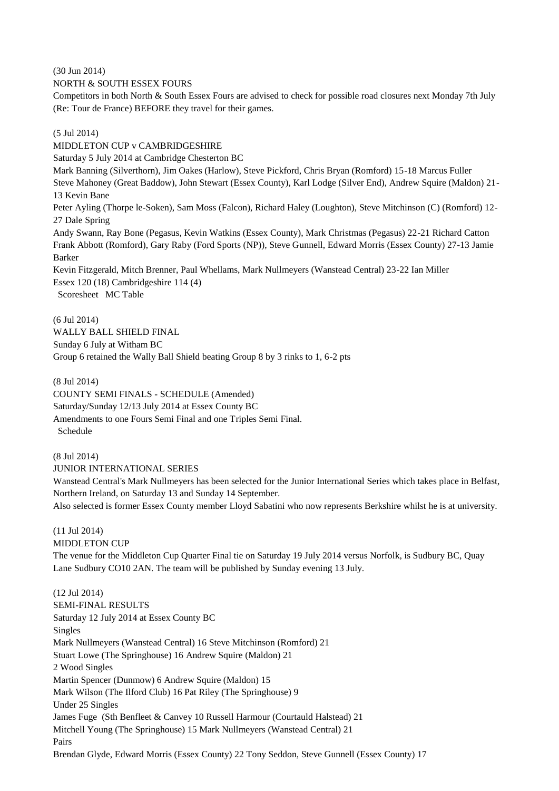(30 Jun 2014)

NORTH & SOUTH ESSEX FOURS

Competitors in both North & South Essex Fours are advised to check for possible road closures next Monday 7th July (Re: Tour de France) BEFORE they travel for their games.

(5 Jul 2014)

MIDDLETON CUP v CAMBRIDGESHIRE Saturday 5 July 2014 at Cambridge Chesterton BC Mark Banning (Silverthorn), Jim Oakes (Harlow), Steve Pickford, Chris Bryan (Romford) 15-18 Marcus Fuller Steve Mahoney (Great Baddow), John Stewart (Essex County), Karl Lodge (Silver End), Andrew Squire (Maldon) 21- 13 Kevin Bane Peter Ayling (Thorpe le-Soken), Sam Moss (Falcon), Richard Haley (Loughton), Steve Mitchinson (C) (Romford) 12- 27 Dale Spring Andy Swann, Ray Bone (Pegasus, Kevin Watkins (Essex County), Mark Christmas (Pegasus) 22-21 Richard Catton Frank Abbott (Romford), Gary Raby (Ford Sports (NP)), Steve Gunnell, Edward Morris (Essex County) 27-13 Jamie Barker Kevin Fitzgerald, Mitch Brenner, Paul Whellams, Mark Nullmeyers (Wanstead Central) 23-22 Ian Miller Essex 120 (18) Cambridgeshire 114 (4) Scoresheet MC Table

(6 Jul 2014) WALLY BALL SHIELD FINAL Sunday 6 July at Witham BC Group 6 retained the Wally Ball Shield beating Group 8 by 3 rinks to 1, 6-2 pts

(8 Jul 2014)

COUNTY SEMI FINALS - SCHEDULE (Amended) Saturday/Sunday 12/13 July 2014 at Essex County BC Amendments to one Fours Semi Final and one Triples Semi Final. Schedule

(8 Jul 2014)

JUNIOR INTERNATIONAL SERIES

Wanstead Central's Mark Nullmeyers has been selected for the Junior International Series which takes place in Belfast, Northern Ireland, on Saturday 13 and Sunday 14 September.

Also selected is former Essex County member Lloyd Sabatini who now represents Berkshire whilst he is at university.

(11 Jul 2014)

MIDDLETON CUP

The venue for the Middleton Cup Quarter Final tie on Saturday 19 July 2014 versus Norfolk, is Sudbury BC, Quay Lane Sudbury CO10 2AN. The team will be published by Sunday evening 13 July.

(12 Jul 2014)

SEMI-FINAL RESULTS Saturday 12 July 2014 at Essex County BC Singles Mark Nullmeyers (Wanstead Central) 16 Steve Mitchinson (Romford) 21 Stuart Lowe (The Springhouse) 16 Andrew Squire (Maldon) 21 2 Wood Singles Martin Spencer (Dunmow) 6 Andrew Squire (Maldon) 15 Mark Wilson (The Ilford Club) 16 Pat Riley (The Springhouse) 9 Under 25 Singles James Fuge (Sth Benfleet & Canvey 10 Russell Harmour (Courtauld Halstead) 21 Mitchell Young (The Springhouse) 15 Mark Nullmeyers (Wanstead Central) 21 Pairs Brendan Glyde, Edward Morris (Essex County) 22 Tony Seddon, Steve Gunnell (Essex County) 17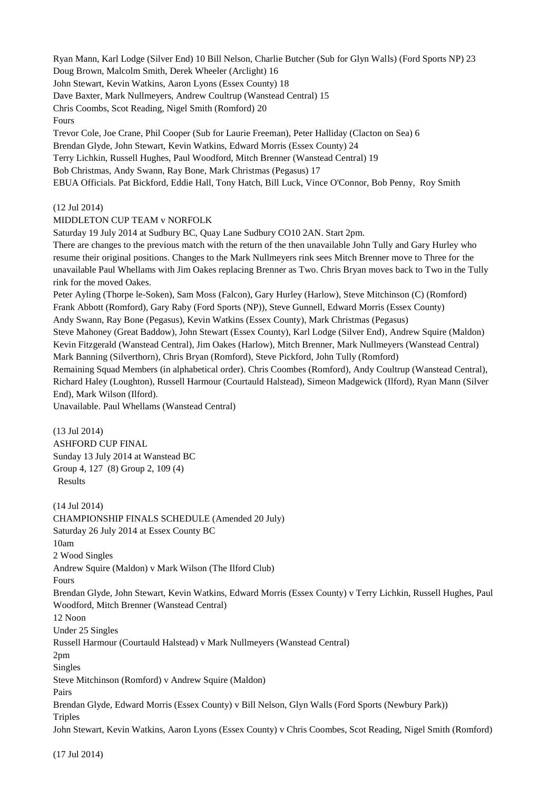Ryan Mann, Karl Lodge (Silver End) 10 Bill Nelson, Charlie Butcher (Sub for Glyn Walls) (Ford Sports NP) 23 Doug Brown, Malcolm Smith, Derek Wheeler (Arclight) 16

John Stewart, Kevin Watkins, Aaron Lyons (Essex County) 18

Dave Baxter, Mark Nullmeyers, Andrew Coultrup (Wanstead Central) 15

Chris Coombs, Scot Reading, Nigel Smith (Romford) 20

Fours

Trevor Cole, Joe Crane, Phil Cooper (Sub for Laurie Freeman), Peter Halliday (Clacton on Sea) 6 Brendan Glyde, John Stewart, Kevin Watkins, Edward Morris (Essex County) 24 Terry Lichkin, Russell Hughes, Paul Woodford, Mitch Brenner (Wanstead Central) 19 Bob Christmas, Andy Swann, Ray Bone, Mark Christmas (Pegasus) 17 EBUA Officials. Pat Bickford, Eddie Hall, Tony Hatch, Bill Luck, Vince O'Connor, Bob Penny, Roy Smith

## (12 Jul 2014)

MIDDLETON CUP TEAM v NORFOLK

Saturday 19 July 2014 at Sudbury BC, Quay Lane Sudbury CO10 2AN. Start 2pm.

There are changes to the previous match with the return of the then unavailable John Tully and Gary Hurley who resume their original positions. Changes to the Mark Nullmeyers rink sees Mitch Brenner move to Three for the unavailable Paul Whellams with Jim Oakes replacing Brenner as Two. Chris Bryan moves back to Two in the Tully rink for the moved Oakes.

Peter Ayling (Thorpe le-Soken), Sam Moss (Falcon), Gary Hurley (Harlow), Steve Mitchinson (C) (Romford) Frank Abbott (Romford), Gary Raby (Ford Sports (NP)), Steve Gunnell, Edward Morris (Essex County)

Andy Swann, Ray Bone (Pegasus), Kevin Watkins (Essex County), Mark Christmas (Pegasus)

Steve Mahoney (Great Baddow), John Stewart (Essex County), Karl Lodge (Silver End), Andrew Squire (Maldon) Kevin Fitzgerald (Wanstead Central), Jim Oakes (Harlow), Mitch Brenner, Mark Nullmeyers (Wanstead Central) Mark Banning (Silverthorn), Chris Bryan (Romford), Steve Pickford, John Tully (Romford)

Remaining Squad Members (in alphabetical order). Chris Coombes (Romford), Andy Coultrup (Wanstead Central), Richard Haley (Loughton), Russell Harmour (Courtauld Halstead), Simeon Madgewick (Ilford), Ryan Mann (Silver End), Mark Wilson (Ilford).

Unavailable. Paul Whellams (Wanstead Central)

## (13 Jul 2014)

ASHFORD CUP FINAL Sunday 13 July 2014 at Wanstead BC Group 4, 127 (8) Group 2, 109 (4) Results

(14 Jul 2014) CHAMPIONSHIP FINALS SCHEDULE (Amended 20 July) Saturday 26 July 2014 at Essex County BC 10am 2 Wood Singles Andrew Squire (Maldon) v Mark Wilson (The Ilford Club) Fours Brendan Glyde, John Stewart, Kevin Watkins, Edward Morris (Essex County) v Terry Lichkin, Russell Hughes, Paul Woodford, Mitch Brenner (Wanstead Central) 12 Noon Under 25 Singles Russell Harmour (Courtauld Halstead) v Mark Nullmeyers (Wanstead Central) 2pm Singles Steve Mitchinson (Romford) v Andrew Squire (Maldon) Pairs Brendan Glyde, Edward Morris (Essex County) v Bill Nelson, Glyn Walls (Ford Sports (Newbury Park)) Triples John Stewart, Kevin Watkins, Aaron Lyons (Essex County) v Chris Coombes, Scot Reading, Nigel Smith (Romford)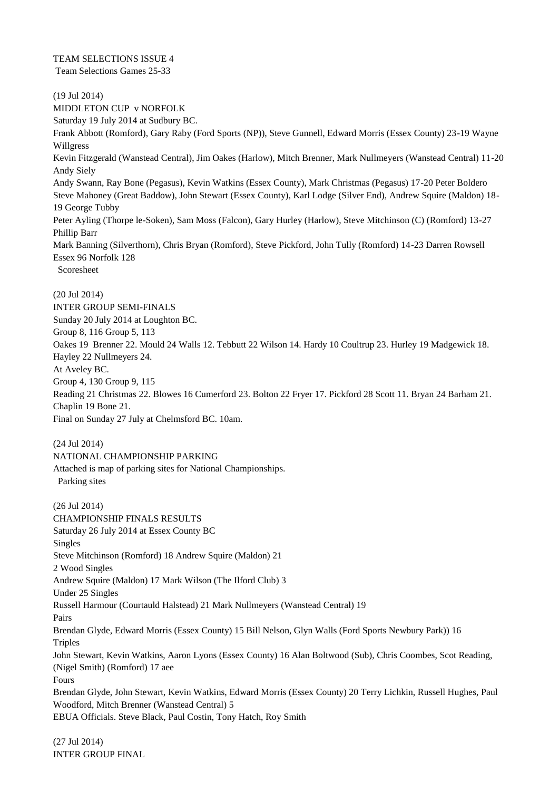TEAM SELECTIONS ISSUE 4 Team Selections Games 25-33

(19 Jul 2014) MIDDLETON CUP v NORFOLK Saturday 19 July 2014 at Sudbury BC. Frank Abbott (Romford), Gary Raby (Ford Sports (NP)), Steve Gunnell, Edward Morris (Essex County) 23-19 Wayne Willgress Kevin Fitzgerald (Wanstead Central), Jim Oakes (Harlow), Mitch Brenner, Mark Nullmeyers (Wanstead Central) 11-20 Andy Siely Andy Swann, Ray Bone (Pegasus), Kevin Watkins (Essex County), Mark Christmas (Pegasus) 17-20 Peter Boldero Steve Mahoney (Great Baddow), John Stewart (Essex County), Karl Lodge (Silver End), Andrew Squire (Maldon) 18- 19 George Tubby Peter Ayling (Thorpe le-Soken), Sam Moss (Falcon), Gary Hurley (Harlow), Steve Mitchinson (C) (Romford) 13-27 Phillip Barr Mark Banning (Silverthorn), Chris Bryan (Romford), Steve Pickford, John Tully (Romford) 14-23 Darren Rowsell Essex 96 Norfolk 128 Scoresheet (20 Jul 2014) INTER GROUP SEMI-FINALS Sunday 20 July 2014 at Loughton BC. Group 8, 116 Group 5, 113

Oakes 19 Brenner 22. Mould 24 Walls 12. Tebbutt 22 Wilson 14. Hardy 10 Coultrup 23. Hurley 19 Madgewick 18. Hayley 22 Nullmeyers 24. At Aveley BC. Group 4, 130 Group 9, 115 Reading 21 Christmas 22. Blowes 16 Cumerford 23. Bolton 22 Fryer 17. Pickford 28 Scott 11. Bryan 24 Barham 21. Chaplin 19 Bone 21.

Final on Sunday 27 July at Chelmsford BC. 10am.

(24 Jul 2014)

NATIONAL CHAMPIONSHIP PARKING Attached is map of parking sites for National Championships. Parking sites

(26 Jul 2014) CHAMPIONSHIP FINALS RESULTS Saturday 26 July 2014 at Essex County BC Singles Steve Mitchinson (Romford) 18 Andrew Squire (Maldon) 21 2 Wood Singles Andrew Squire (Maldon) 17 Mark Wilson (The Ilford Club) 3 Under 25 Singles Russell Harmour (Courtauld Halstead) 21 Mark Nullmeyers (Wanstead Central) 19 Pairs Brendan Glyde, Edward Morris (Essex County) 15 Bill Nelson, Glyn Walls (Ford Sports Newbury Park)) 16 **Triples** John Stewart, Kevin Watkins, Aaron Lyons (Essex County) 16 Alan Boltwood (Sub), Chris Coombes, Scot Reading, (Nigel Smith) (Romford) 17 aee Fours Brendan Glyde, John Stewart, Kevin Watkins, Edward Morris (Essex County) 20 Terry Lichkin, Russell Hughes, Paul Woodford, Mitch Brenner (Wanstead Central) 5 EBUA Officials. Steve Black, Paul Costin, Tony Hatch, Roy Smith

(27 Jul 2014) INTER GROUP FINAL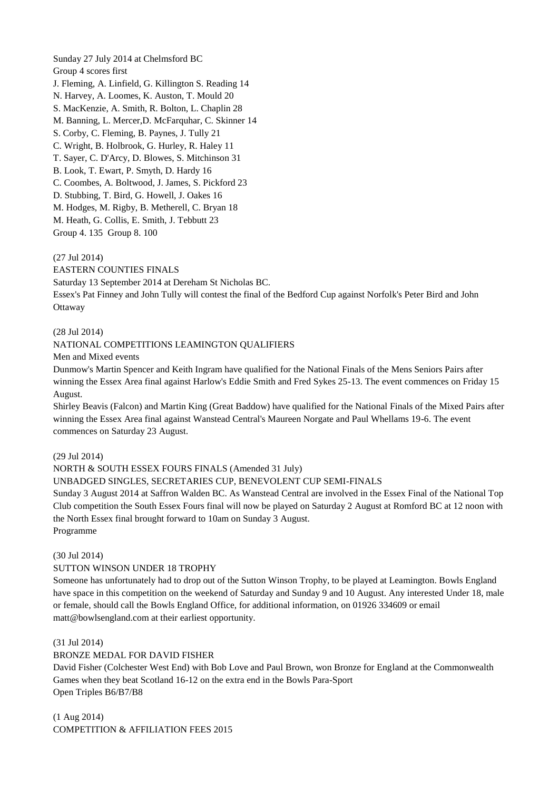Sunday 27 July 2014 at Chelmsford BC Group 4 scores first J. Fleming, A. Linfield, G. Killington S. Reading 14 N. Harvey, A. Loomes, K. Auston, T. Mould 20 S. MacKenzie, A. Smith, R. Bolton, L. Chaplin 28 M. Banning, L. Mercer,D. McFarquhar, C. Skinner 14 S. Corby, C. Fleming, B. Paynes, J. Tully 21 C. Wright, B. Holbrook, G. Hurley, R. Haley 11 T. Sayer, C. D'Arcy, D. Blowes, S. Mitchinson 31 B. Look, T. Ewart, P. Smyth, D. Hardy 16 C. Coombes, A. Boltwood, J. James, S. Pickford 23 D. Stubbing, T. Bird, G. Howell, J. Oakes 16 M. Hodges, M. Rigby, B. Metherell, C. Bryan 18 M. Heath, G. Collis, E. Smith, J. Tebbutt 23 Group 4. 135 Group 8. 100

(27 Jul 2014)

EASTERN COUNTIES FINALS Saturday 13 September 2014 at Dereham St Nicholas BC. Essex's Pat Finney and John Tully will contest the final of the Bedford Cup against Norfolk's Peter Bird and John **Ottaway** 

## (28 Jul 2014)

## NATIONAL COMPETITIONS LEAMINGTON QUALIFIERS

Men and Mixed events

Dunmow's Martin Spencer and Keith Ingram have qualified for the National Finals of the Mens Seniors Pairs after winning the Essex Area final against Harlow's Eddie Smith and Fred Sykes 25-13. The event commences on Friday 15 August.

Shirley Beavis (Falcon) and Martin King (Great Baddow) have qualified for the National Finals of the Mixed Pairs after winning the Essex Area final against Wanstead Central's Maureen Norgate and Paul Whellams 19-6. The event commences on Saturday 23 August.

## (29 Jul 2014)

NORTH & SOUTH ESSEX FOURS FINALS (Amended 31 July)

UNBADGED SINGLES, SECRETARIES CUP, BENEVOLENT CUP SEMI-FINALS

Sunday 3 August 2014 at Saffron Walden BC. As Wanstead Central are involved in the Essex Final of the National Top Club competition the South Essex Fours final will now be played on Saturday 2 August at Romford BC at 12 noon with the North Essex final brought forward to 10am on Sunday 3 August. Programme

#### (30 Jul 2014)

#### SUTTON WINSON UNDER 18 TROPHY

Someone has unfortunately had to drop out of the Sutton Winson Trophy, to be played at Leamington. Bowls England have space in this competition on the weekend of Saturday and Sunday 9 and 10 August. Any interested Under 18, male or female, should call the Bowls England Office, for additional information, on 01926 334609 or email matt@bowlsengland.com at their earliest opportunity.

#### (31 Jul 2014)

#### BRONZE MEDAL FOR DAVID FISHER

David Fisher (Colchester West End) with Bob Love and Paul Brown, won Bronze for England at the Commonwealth Games when they beat Scotland 16-12 on the extra end in the Bowls Para-Sport Open Triples B6/B7/B8

(1 Aug 2014) COMPETITION & AFFILIATION FEES 2015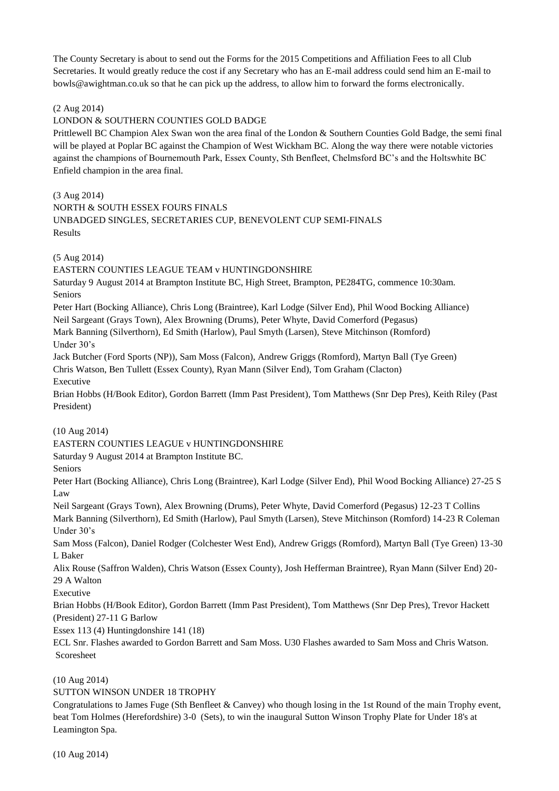The County Secretary is about to send out the Forms for the 2015 Competitions and Affiliation Fees to all Club Secretaries. It would greatly reduce the cost if any Secretary who has an E-mail address could send him an E-mail to bowls@awightman.co.uk so that he can pick up the address, to allow him to forward the forms electronically.

## (2 Aug 2014)

#### LONDON & SOUTHERN COUNTIES GOLD BADGE

Prittlewell BC Champion Alex Swan won the area final of the London & Southern Counties Gold Badge, the semi final will be played at Poplar BC against the Champion of West Wickham BC. Along the way there were notable victories against the champions of Bournemouth Park, Essex County, Sth Benfleet, Chelmsford BC's and the Holtswhite BC Enfield champion in the area final.

(3 Aug 2014)

NORTH & SOUTH ESSEX FOURS FINALS

UNBADGED SINGLES, SECRETARIES CUP, BENEVOLENT CUP SEMI-FINALS Results

(5 Aug 2014)

EASTERN COUNTIES LEAGUE TEAM v HUNTINGDONSHIRE Saturday 9 August 2014 at Brampton Institute BC, High Street, Brampton, PE284TG, commence 10:30am. Seniors Peter Hart (Bocking Alliance), Chris Long (Braintree), Karl Lodge (Silver End), Phil Wood Bocking Alliance) Neil Sargeant (Grays Town), Alex Browning (Drums), Peter Whyte, David Comerford (Pegasus) Mark Banning (Silverthorn), Ed Smith (Harlow), Paul Smyth (Larsen), Steve Mitchinson (Romford) Under 30's Jack Butcher (Ford Sports (NP)), Sam Moss (Falcon), Andrew Griggs (Romford), Martyn Ball (Tye Green) Chris Watson, Ben Tullett (Essex County), Ryan Mann (Silver End), Tom Graham (Clacton) Executive Brian Hobbs (H/Book Editor), Gordon Barrett (Imm Past President), Tom Matthews (Snr Dep Pres), Keith Riley (Past President) (10 Aug 2014) EASTERN COUNTIES LEAGUE v HUNTINGDONSHIRE Saturday 9 August 2014 at Brampton Institute BC. Seniors Peter Hart (Bocking Alliance), Chris Long (Braintree), Karl Lodge (Silver End), Phil Wood Bocking Alliance) 27-25 S Law Neil Sargeant (Grays Town), Alex Browning (Drums), Peter Whyte, David Comerford (Pegasus) 12-23 T Collins Mark Banning (Silverthorn), Ed Smith (Harlow), Paul Smyth (Larsen), Steve Mitchinson (Romford) 14-23 R Coleman Under 30's Sam Moss (Falcon), Daniel Rodger (Colchester West End), Andrew Griggs (Romford), Martyn Ball (Tye Green) 13-30 L Baker Alix Rouse (Saffron Walden), Chris Watson (Essex County), Josh Hefferman Braintree), Ryan Mann (Silver End) 20- 29 A Walton Executive Brian Hobbs (H/Book Editor), Gordon Barrett (Imm Past President), Tom Matthews (Snr Dep Pres), Trevor Hackett (President) 27-11 G Barlow Essex 113 (4) Huntingdonshire 141 (18) ECL Snr. Flashes awarded to Gordon Barrett and Sam Moss. U30 Flashes awarded to Sam Moss and Chris Watson. Scoresheet (10 Aug 2014)

## SUTTON WINSON UNDER 18 TROPHY

Congratulations to James Fuge (Sth Benfleet & Canvey) who though losing in the 1st Round of the main Trophy event, beat Tom Holmes (Herefordshire) 3-0 (Sets), to win the inaugural Sutton Winson Trophy Plate for Under 18's at Leamington Spa.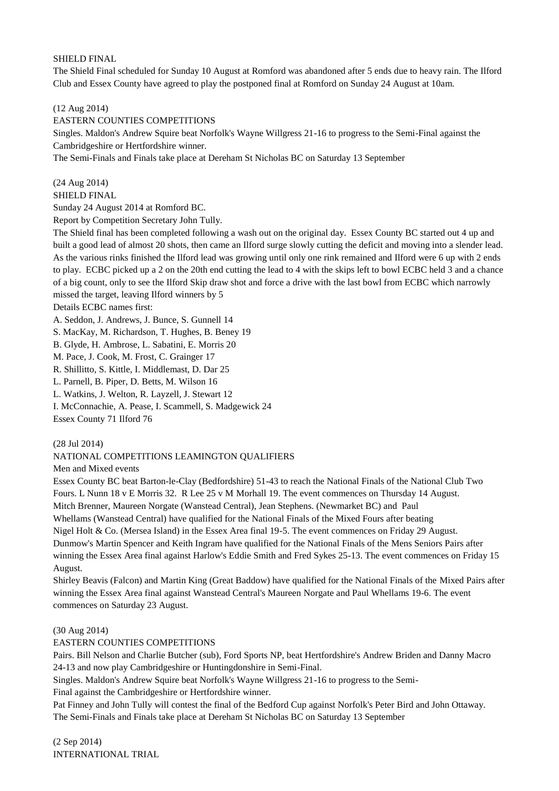## SHIELD FINAL

The Shield Final scheduled for Sunday 10 August at Romford was abandoned after 5 ends due to heavy rain. The Ilford Club and Essex County have agreed to play the postponed final at Romford on Sunday 24 August at 10am.

(12 Aug 2014)

EASTERN COUNTIES COMPETITIONS

Singles. Maldon's Andrew Squire beat Norfolk's Wayne Willgress 21-16 to progress to the Semi-Final against the Cambridgeshire or Hertfordshire winner.

The Semi-Finals and Finals take place at Dereham St Nicholas BC on Saturday 13 September

(24 Aug 2014)

SHIELD FINAL

Sunday 24 August 2014 at Romford BC.

Report by Competition Secretary John Tully.

The Shield final has been completed following a wash out on the original day. Essex County BC started out 4 up and built a good lead of almost 20 shots, then came an Ilford surge slowly cutting the deficit and moving into a slender lead. As the various rinks finished the Ilford lead was growing until only one rink remained and Ilford were 6 up with 2 ends to play. ECBC picked up a 2 on the 20th end cutting the lead to 4 with the skips left to bowl ECBC held 3 and a chance of a big count, only to see the Ilford Skip draw shot and force a drive with the last bowl from ECBC which narrowly missed the target, leaving Ilford winners by 5

Details ECBC names first:

A. Seddon, J. Andrews, J. Bunce, S. Gunnell 14

S. MacKay, M. Richardson, T. Hughes, B. Beney 19

B. Glyde, H. Ambrose, L. Sabatini, E. Morris 20

M. Pace, J. Cook, M. Frost, C. Grainger 17

R. Shillitto, S. Kittle, I. Middlemast, D. Dar 25

L. Parnell, B. Piper, D. Betts, M. Wilson 16

L. Watkins, J. Welton, R. Layzell, J. Stewart 12

I. McConnachie, A. Pease, I. Scammell, S. Madgewick 24

Essex County 71 Ilford 76

(28 Jul 2014)

NATIONAL COMPETITIONS LEAMINGTON QUALIFIERS

Men and Mixed events

Essex County BC beat Barton-le-Clay (Bedfordshire) 51-43 to reach the National Finals of the National Club Two Fours. L Nunn 18 v E Morris 32. R Lee 25 v M Morhall 19. The event commences on Thursday 14 August.

Mitch Brenner, Maureen Norgate (Wanstead Central), Jean Stephens. (Newmarket BC) and Paul

Whellams (Wanstead Central) have qualified for the National Finals of the Mixed Fours after beating

Nigel Holt & Co. (Mersea Island) in the Essex Area final 19-5. The event commences on Friday 29 August.

Dunmow's Martin Spencer and Keith Ingram have qualified for the National Finals of the Mens Seniors Pairs after winning the Essex Area final against Harlow's Eddie Smith and Fred Sykes 25-13. The event commences on Friday 15 August.

Shirley Beavis (Falcon) and Martin King (Great Baddow) have qualified for the National Finals of the Mixed Pairs after winning the Essex Area final against Wanstead Central's Maureen Norgate and Paul Whellams 19-6. The event commences on Saturday 23 August.

(30 Aug 2014)

EASTERN COUNTIES COMPETITIONS

Pairs. Bill Nelson and Charlie Butcher (sub), Ford Sports NP, beat Hertfordshire's Andrew Briden and Danny Macro 24-13 and now play Cambridgeshire or Huntingdonshire in Semi-Final.

Singles. Maldon's Andrew Squire beat Norfolk's Wayne Willgress 21-16 to progress to the Semi-

Final against the Cambridgeshire or Hertfordshire winner.

Pat Finney and John Tully will contest the final of the Bedford Cup against Norfolk's Peter Bird and John Ottaway. The Semi-Finals and Finals take place at Dereham St Nicholas BC on Saturday 13 September

(2 Sep 2014) INTERNATIONAL TRIAL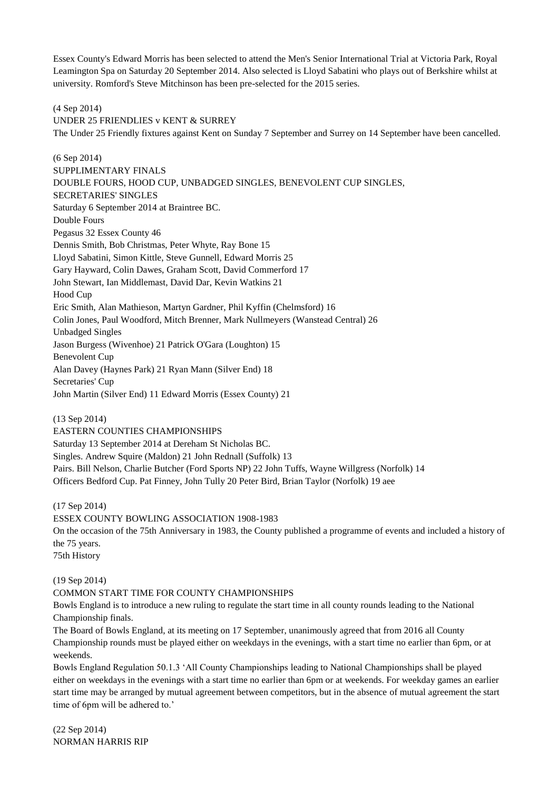Essex County's Edward Morris has been selected to attend the Men's Senior International Trial at Victoria Park, Royal Leamington Spa on Saturday 20 September 2014. Also selected is Lloyd Sabatini who plays out of Berkshire whilst at university. Romford's Steve Mitchinson has been pre-selected for the 2015 series.

(4 Sep 2014)

UNDER 25 FRIENDLIES v KENT & SURREY The Under 25 Friendly fixtures against Kent on Sunday 7 September and Surrey on 14 September have been cancelled.

(6 Sep 2014) SUPPLIMENTARY FINALS DOUBLE FOURS, HOOD CUP, UNBADGED SINGLES, BENEVOLENT CUP SINGLES, SECRETARIES' SINGLES Saturday 6 September 2014 at Braintree BC. Double Fours Pegasus 32 Essex County 46 Dennis Smith, Bob Christmas, Peter Whyte, Ray Bone 15 Lloyd Sabatini, Simon Kittle, Steve Gunnell, Edward Morris 25 Gary Hayward, Colin Dawes, Graham Scott, David Commerford 17 John Stewart, Ian Middlemast, David Dar, Kevin Watkins 21 Hood Cup Eric Smith, Alan Mathieson, Martyn Gardner, Phil Kyffin (Chelmsford) 16 Colin Jones, Paul Woodford, Mitch Brenner, Mark Nullmeyers (Wanstead Central) 26 Unbadged Singles Jason Burgess (Wivenhoe) 21 Patrick O'Gara (Loughton) 15 Benevolent Cup Alan Davey (Haynes Park) 21 Ryan Mann (Silver End) 18 Secretaries' Cup John Martin (Silver End) 11 Edward Morris (Essex County) 21

(13 Sep 2014) EASTERN COUNTIES CHAMPIONSHIPS Saturday 13 September 2014 at Dereham St Nicholas BC. Singles. Andrew Squire (Maldon) 21 John Rednall (Suffolk) 13 Pairs. Bill Nelson, Charlie Butcher (Ford Sports NP) 22 John Tuffs, Wayne Willgress (Norfolk) 14 Officers Bedford Cup. Pat Finney, John Tully 20 Peter Bird, Brian Taylor (Norfolk) 19 aee

(17 Sep 2014)

ESSEX COUNTY BOWLING ASSOCIATION 1908-1983 On the occasion of the 75th Anniversary in 1983, the County published a programme of events and included a history of the 75 years. 75th History

(19 Sep 2014)

#### COMMON START TIME FOR COUNTY CHAMPIONSHIPS

Bowls England is to introduce a new ruling to regulate the start time in all county rounds leading to the National Championship finals.

The Board of Bowls England, at its meeting on 17 September, unanimously agreed that from 2016 all County Championship rounds must be played either on weekdays in the evenings, with a start time no earlier than 6pm, or at weekends.

Bowls England Regulation 50.1.3 'All County Championships leading to National Championships shall be played either on weekdays in the evenings with a start time no earlier than 6pm or at weekends. For weekday games an earlier start time may be arranged by mutual agreement between competitors, but in the absence of mutual agreement the start time of 6pm will be adhered to.'

(22 Sep 2014) NORMAN HARRIS RIP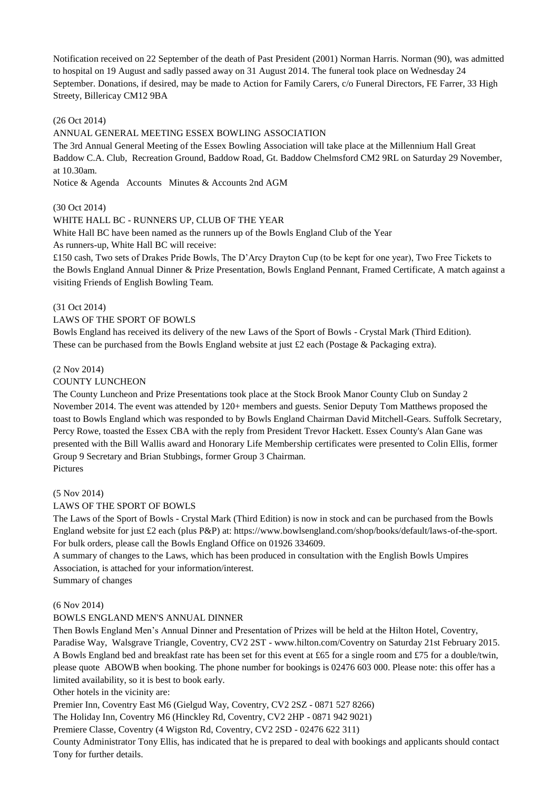Notification received on 22 September of the death of Past President (2001) Norman Harris. Norman (90), was admitted to hospital on 19 August and sadly passed away on 31 August 2014. The funeral took place on Wednesday 24 September. Donations, if desired, may be made to Action for Family Carers, c/o Funeral Directors, FE Farrer, 33 High Streety, Billericay CM12 9BA

#### (26 Oct 2014)

#### ANNUAL GENERAL MEETING ESSEX BOWLING ASSOCIATION

The 3rd Annual General Meeting of the Essex Bowling Association will take place at the Millennium Hall Great Baddow C.A. Club, Recreation Ground, Baddow Road, Gt. Baddow Chelmsford CM2 9RL on Saturday 29 November, at 10.30am.

Notice & Agenda Accounts Minutes & Accounts 2nd AGM

#### (30 Oct 2014)

#### WHITE HALL BC - RUNNERS UP, CLUB OF THE YEAR

White Hall BC have been named as the runners up of the Bowls England Club of the Year

As runners-up, White Hall BC will receive:

£150 cash, Two sets of Drakes Pride Bowls, The D'Arcy Drayton Cup (to be kept for one year), Two Free Tickets to the Bowls England Annual Dinner & Prize Presentation, Bowls England Pennant, Framed Certificate, A match against a visiting Friends of English Bowling Team.

#### (31 Oct 2014)

#### LAWS OF THE SPORT OF BOWLS

Bowls England has received its delivery of the new Laws of the Sport of Bowls - Crystal Mark (Third Edition). These can be purchased from the Bowls England website at just  $\pounds 2$  each (Postage & Packaging extra).

#### (2 Nov 2014)

#### COUNTY LUNCHEON

The County Luncheon and Prize Presentations took place at the Stock Brook Manor County Club on Sunday 2 November 2014. The event was attended by 120+ members and guests. Senior Deputy Tom Matthews proposed the toast to Bowls England which was responded to by Bowls England Chairman David Mitchell-Gears. Suffolk Secretary, Percy Rowe, toasted the Essex CBA with the reply from President Trevor Hackett. Essex County's Alan Gane was presented with the Bill Wallis award and Honorary Life Membership certificates were presented to Colin Ellis, former Group 9 Secretary and Brian Stubbings, former Group 3 Chairman. Pictures

#### (5 Nov 2014)

#### LAWS OF THE SPORT OF BOWLS

The Laws of the Sport of Bowls - Crystal Mark (Third Edition) is now in stock and can be purchased from the Bowls England website for just £2 each (plus P&P) at: https://www.bowlsengland.com/shop/books/default/laws-of-the-sport. For bulk orders, please call the Bowls England Office on 01926 334609.

A summary of changes to the Laws, which has been produced in consultation with the English Bowls Umpires Association, is attached for your information/interest.

Summary of changes

#### (6 Nov 2014)

#### BOWLS ENGLAND MEN'S ANNUAL DINNER

Then Bowls England Men's Annual Dinner and Presentation of Prizes will be held at the Hilton Hotel, Coventry, Paradise Way, Walsgrave Triangle, Coventry, CV2 2ST - www.hilton.com/Coventry on Saturday 21st February 2015. A Bowls England bed and breakfast rate has been set for this event at £65 for a single room and £75 for a double/twin, please quote ABOWB when booking. The phone number for bookings is 02476 603 000. Please note: this offer has a limited availability, so it is best to book early.

Other hotels in the vicinity are:

Premier Inn, Coventry East M6 (Gielgud Way, Coventry, CV2 2SZ - 0871 527 8266)

The Holiday Inn, Coventry M6 (Hinckley Rd, Coventry, CV2 2HP - 0871 942 9021)

Premiere Classe, Coventry (4 Wigston Rd, Coventry, CV2 2SD - 02476 622 311)

County Administrator Tony Ellis, has indicated that he is prepared to deal with bookings and applicants should contact Tony for further details.